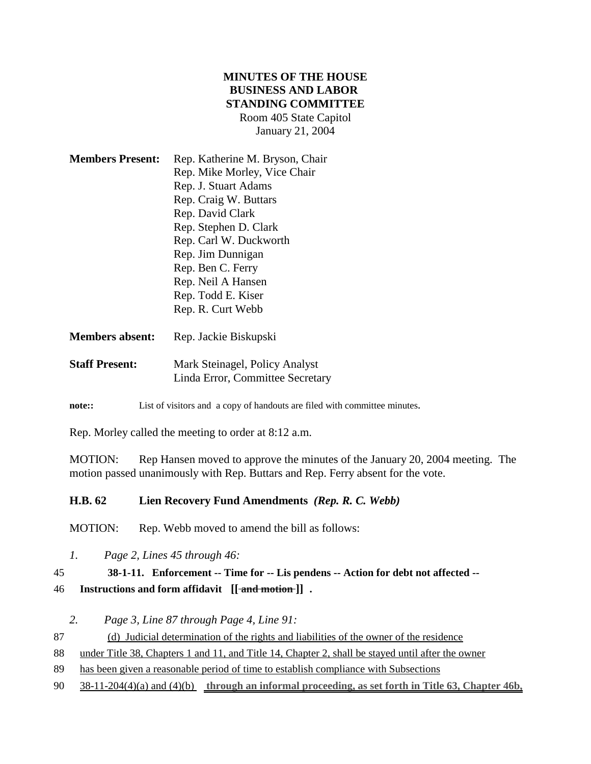### **MINUTES OF THE HOUSE BUSINESS AND LABOR STANDING COMMITTEE** Room 405 State Capitol January 21, 2004

| <b>Members Present:</b> | Rep. Katherine M. Bryson, Chair |
|-------------------------|---------------------------------|
|                         | Rep. Mike Morley, Vice Chair    |
|                         | Rep. J. Stuart Adams            |
|                         | Rep. Craig W. Buttars           |
|                         | Rep. David Clark                |
|                         | Rep. Stephen D. Clark           |
|                         | Rep. Carl W. Duckworth          |
|                         | Rep. Jim Dunnigan               |
|                         | Rep. Ben C. Ferry               |
|                         | Rep. Neil A Hansen              |
|                         | Rep. Todd E. Kiser              |
|                         | Rep. R. Curt Webb               |
|                         |                                 |

| <b>Staff Present:</b> | Mark Steinagel, Policy Analyst |  |
|-----------------------|--------------------------------|--|

**Members absent:** Rep. Jackie Biskupski

Linda Error, Committee Secretary

**note::** List of visitors and a copy of handouts are filed with committee minutes.

Rep. Morley called the meeting to order at 8:12 a.m.

MOTION: Rep Hansen moved to approve the minutes of the January 20, 2004 meeting. The motion passed unanimously with Rep. Buttars and Rep. Ferry absent for the vote.

## **H.B. 62 Lien Recovery Fund Amendments** *(Rep. R. C. Webb)*

MOTION: Rep. Webb moved to amend the bill as follows:

*1. Page 2, Lines 45 through 46:*

## 45 **38-1-11. Enforcement -- Time for -- Lis pendens -- Action for debt not affected --**

46 **Instructions and form affidavit** [[ $\frac{1}{\pi}$ **nd motion**]].

*2. Page 3, Line 87 through Page 4, Line 91:*

87 (d) Judicial determination of the rights and liabilities of the owner of the residence

88 under Title 38, Chapters 1 and 11, and Title 14, Chapter 2, shall be stayed until after the owner

89 has been given a reasonable period of time to establish compliance with Subsections

90 38-11-204(4)(a) and (4)(b) **through an informal proceeding, as set forth in Title 63, Chapter 46b,**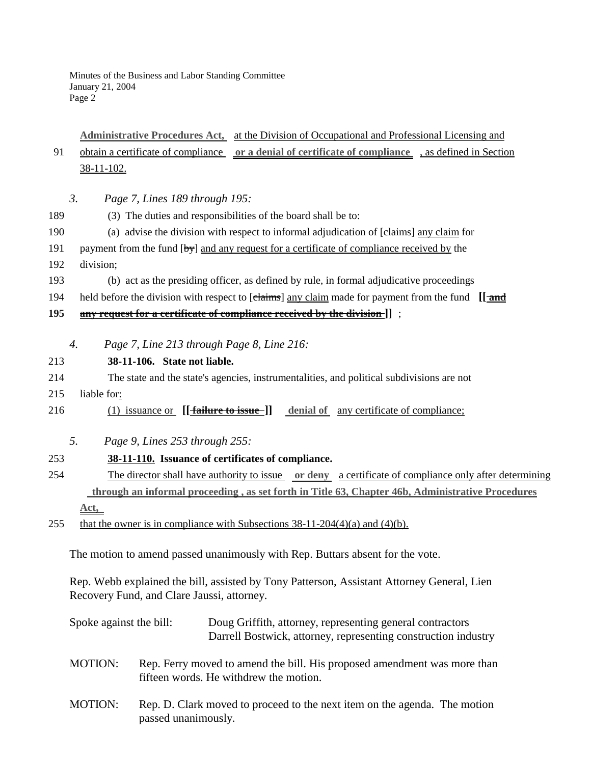# **Administrative Procedures Act,** at the Division of Occupational and Professional Licensing and 91 obtain a certificate of compliance **or a denial of certificate of compliance** , as defined in Section 38-11-102.

- *3. Page 7, Lines 189 through 195:*
- 189 (3) The duties and responsibilities of the board shall be to:
- 190 (a) advise the division with respect to informal adjudication of [claims] any claim for
- 191 payment from the fund  $[\frac{by}{y}]$  and any request for a certificate of compliance received by the
- 192 division;
- 193 (b) act as the presiding officer, as defined by rule, in formal adjudicative proceedings
- 194 held before the division with respect to [claims] any claim made for payment from the fund [[**and**]

#### **195 any request for a certificate of compliance received by the division ]]** ;

*4. Page 7, Line 213 through Page 8, Line 216:*

#### 213 **38-11-106. State not liable.**

- 214 The state and the state's agencies, instrumentalities, and political subdivisions are not
- 215 liable for:
- 216 (1) issuance or **[[failure to issue**]] denial of any certificate of compliance;
	- *5. Page 9, Lines 253 through 255:*

### 253 **38-11-110. Issuance of certificates of compliance.**

- 254 The director shall have authority to issue **or deny** a certificate of compliance only after determining  **through an informal proceeding , as set forth in Title 63, Chapter 46b, Administrative Procedures Act,**
- 255 that the owner is in compliance with Subsections  $38-11-204(4)(a)$  and  $(4)(b)$ .

The motion to amend passed unanimously with Rep. Buttars absent for the vote.

Rep. Webb explained the bill, assisted by Tony Patterson, Assistant Attorney General, Lien Recovery Fund, and Clare Jaussi, attorney.

| Spoke against the bill: |                     | Doug Griffith, attorney, representing general contractors<br>Darrell Bostwick, attorney, representing construction industry |
|-------------------------|---------------------|-----------------------------------------------------------------------------------------------------------------------------|
| <b>MOTION:</b>          |                     | Rep. Ferry moved to amend the bill. His proposed amendment was more than<br>fifteen words. He withdrew the motion.          |
| <b>MOTION:</b>          | passed unanimously. | Rep. D. Clark moved to proceed to the next item on the agenda. The motion                                                   |